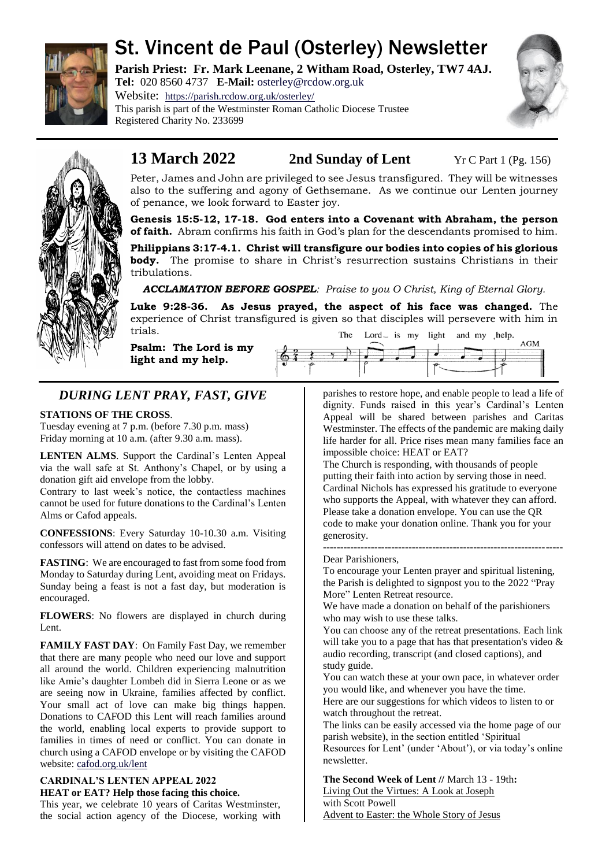

# St. Vincent de Paul (Osterley) Newsletter

**Parish Priest: Fr. Mark Leenane, 2 Witham Road, Osterley, TW7 4AJ. Tel:** 020 8560 4737 **E-Mail:** [osterley@rcdow.org.uk](mailto:osterley@rcdow.org.uk)

Website: <https://parish.rcdow.org.uk/osterley/> This parish is part of the Westminster Roman Catholic Diocese Trustee Registered Charity No. 233699





# **13 March 2022 2nd Sunday of Lent** Yr C Part 1 (Pg. 156)

Peter, James and John are privileged to see Jesus transfigured. They will be witnesses also to the suffering and agony of Gethsemane. As we continue our Lenten journey of penance, we look forward to Easter joy.

**Genesis 15:5-12, 17-18. God enters into a Covenant with Abraham, the person of faith.** Abram confirms his faith in God's plan for the descendants promised to him.

**Philippians 3:17-4.1. Christ will transfigure our bodies into copies of his glorious body.** The promise to share in Christ's resurrection sustains Christians in their tribulations.

*ACCLAMATION BEFORE GOSPEL: Praise to you O Christ, King of Eternal Glory.*

**Luke 9:28-36. As Jesus prayed, the aspect of his face was changed.** The experience of Christ transfigured is given so that disciples will persevere with him in trials. The Lord<sub>-</sub> is my light and my help. **AGM** 

**Psalm: The Lord is my light and my help.**

# *DURING LENT PRAY, FAST, GIVE*

# **STATIONS OF THE CROSS**.

Tuesday evening at 7 p.m. (before 7.30 p.m. mass) Friday morning at 10 a.m. (after 9.30 a.m. mass).

**LENTEN ALMS**. Support the Cardinal's Lenten Appeal via the wall safe at St. Anthony's Chapel, or by using a donation gift aid envelope from the lobby.

Contrary to last week's notice, the contactless machines cannot be used for future donations to the Cardinal's Lenten Alms or Cafod appeals.

**CONFESSIONS**: Every Saturday 10-10.30 a.m. Visiting confessors will attend on dates to be advised.

**FASTING**: We are encouraged to fast from some food from Monday to Saturday during Lent, avoiding meat on Fridays. Sunday being a feast is not a fast day, but moderation is encouraged.

**FLOWERS**: No flowers are displayed in church during Lent.

**FAMILY FAST DAY**: On Family Fast Day, we remember that there are many people who need our love and support all around the world. Children experiencing malnutrition like Amie's daughter Lombeh did in Sierra Leone or as we are seeing now in Ukraine, families affected by conflict. Your small act of love can make big things happen. Donations to CAFOD this Lent will reach families around the world, enabling local experts to provide support to families in times of need or conflict. You can donate in church using a CAFOD envelope or by visiting the CAFOD website[: cafod.org.uk/lent](https://cafod.org.uk/Lent)

# **CARDINAL'S LENTEN APPEAL 2022 HEAT or EAT? Help those facing this choice.**

This year, we celebrate 10 years of Caritas Westminster, the social action agency of the Diocese, working with parishes to restore hope, and enable people to lead a life of dignity. Funds raised in this year's Cardinal's Lenten Appeal will be shared between parishes and Caritas Westminster. The effects of the pandemic are making daily life harder for all. Price rises mean many families face an impossible choice: HEAT or EAT?

The Church is responding, with thousands of people putting their faith into action by serving those in need. Cardinal Nichols has expressed his gratitude to everyone who supports the Appeal, with whatever they can afford. Please take a donation envelope. You can use the QR code to make your donation online. Thank you for your generosity.

#### ---------------------------------------------------------------------- Dear Parishioners,

To encourage your Lenten prayer and spiritual listening, the Parish is delighted to signpost you to the 2022 "Pray More" Lenten Retreat resource.

We have made a donation on behalf of the parishioners who may wish to use these talks.

You can choose any of the retreat presentations. Each link will take you to a page that has that presentation's video & audio recording, transcript (and closed captions), and study guide.

You can watch these at your own pace, in whatever order you would like, and whenever you have the time.

Here are our suggestions for which videos to listen to or watch throughout the retreat.

The links can be easily accessed via the home page of our parish website), in the section entitled 'Spiritual Resources for Lent' (under 'About'), or via today's online newsletter.

**The Second Week of Lent //** March 13 - 19th**:** [Living Out the Virtues: A Look at Joseph](https://praymoreretreat.us2.list-manage.com/track/click?u=4165fbdf0f773abfadd804de8&id=20a7d0ffb0&e=9767671fe1) with Scott Powell

[Advent to Easter: the Whole Story of Jesus](https://praymoreretreat.us2.list-manage.com/track/click?u=4165fbdf0f773abfadd804de8&id=96aa9c6b1f&e=9767671fe1)